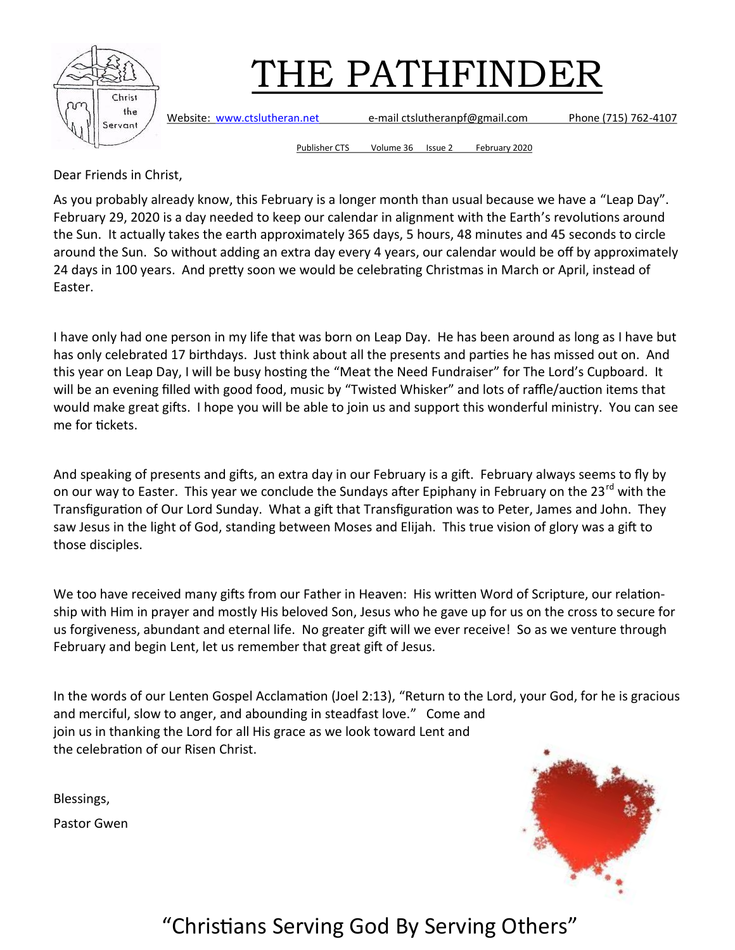

Website: [www.ctslutheran.net](http://www.ctslutheran.net/) e-mail ctslutheranpf@gmail.com Phone (715) 762-4107

Publisher CTS Volume 36 Issue 2 February 2020

Dear Friends in Christ,

As you probably already know, this February is a longer month than usual because we have a "Leap Day". February 29, 2020 is a day needed to keep our calendar in alignment with the Earth's revolutions around the Sun. It actually takes the earth approximately 365 days, 5 hours, 48 minutes and 45 seconds to circle around the Sun. So without adding an extra day every 4 years, our calendar would be off by approximately 24 days in 100 years. And pretty soon we would be celebrating Christmas in March or April, instead of Easter.

I have only had one person in my life that was born on Leap Day. He has been around as long as I have but has only celebrated 17 birthdays. Just think about all the presents and parties he has missed out on. And this year on Leap Day, I will be busy hosting the "Meat the Need Fundraiser" for The Lord's Cupboard. It will be an evening filled with good food, music by "Twisted Whisker" and lots of raffle/auction items that would make great gifts. I hope you will be able to join us and support this wonderful ministry. You can see me for tickets.

And speaking of presents and gifts, an extra day in our February is a gift. February always seems to fly by on our way to Easter. This year we conclude the Sundays after Epiphany in February on the 23<sup>rd</sup> with the Transfiguration of Our Lord Sunday. What a gift that Transfiguration was to Peter, James and John. They saw Jesus in the light of God, standing between Moses and Elijah. This true vision of glory was a gift to those disciples.

We too have received many gifts from our Father in Heaven: His written Word of Scripture, our relationship with Him in prayer and mostly His beloved Son, Jesus who he gave up for us on the cross to secure for us forgiveness, abundant and eternal life. No greater gift will we ever receive! So as we venture through February and begin Lent, let us remember that great gift of Jesus.

In the words of our Lenten Gospel Acclamation (Joel 2:13), "Return to the Lord, your God, for he is gracious and merciful, slow to anger, and abounding in steadfast love." Come and join us in thanking the Lord for all His grace as we look toward Lent and the celebration of our Risen Christ.

Blessings,

Pastor Gwen

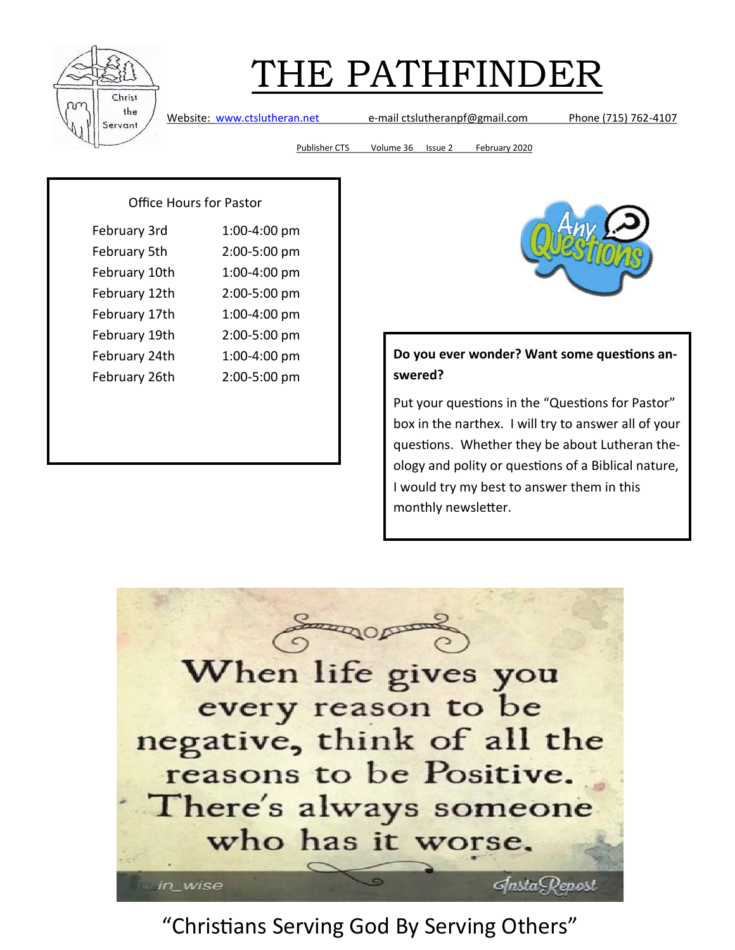

Website: [www.ctslutheran.net](http://www.ctslutheran.net/) e-mail ctslutheranpf@gmail.com Phone (715) 762-4107

Publisher CTS Volume 36 Issue 2 February 2020

#### Office Hours for Pastor

| February 3rd  | 1:00-4:00 pm |
|---------------|--------------|
| February 5th  | 2:00-5:00 pm |
| February 10th | 1:00-4:00 pm |
| February 12th | 2:00-5:00 pm |
| February 17th | 1:00-4:00 pm |
| February 19th | 2:00-5:00 pm |
| February 24th | 1:00-4:00 pm |
| February 26th | 2:00-5:00 pm |



#### **Do you ever wonder? Want some questions answered?**

Put your questions in the "Questions for Pastor" box in the narthex. I will try to answer all of your questions. Whether they be about Lutheran theology and polity or questions of a Biblical nature, I would try my best to answer them in this monthly newsletter.

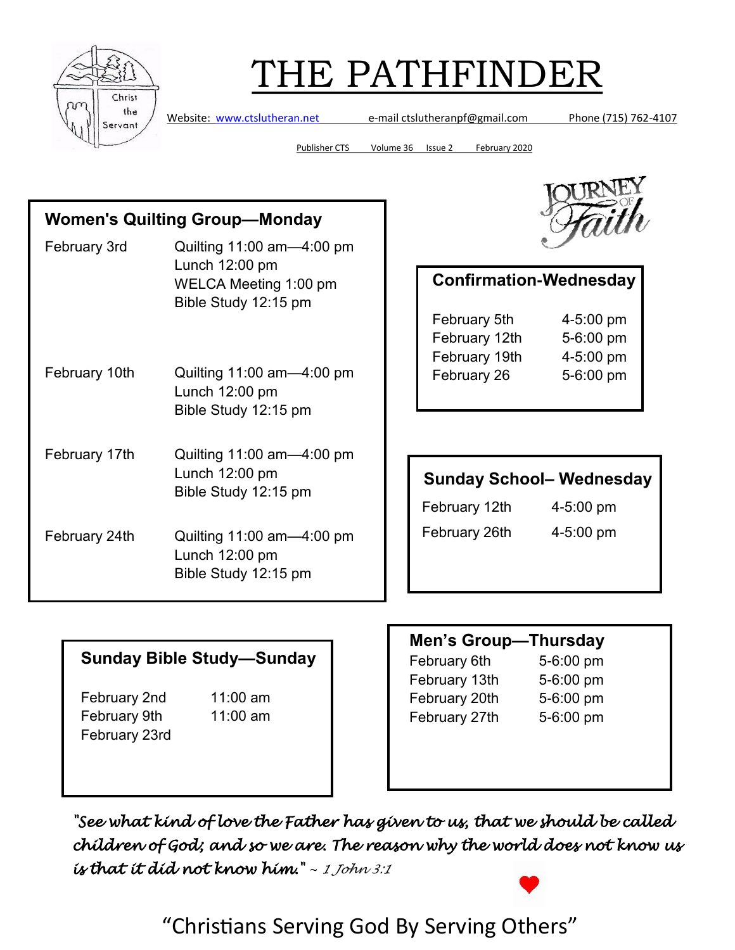

Website: [www.ctslutheran.net](http://www.ctslutheran.net/) e-mail ctslutheranpf@gmail.com Phone (715) 762-4107

Publisher CTS Volume 36 Issue 2 February 2020

### **Women's Quilting Group—Monday**

- February 3rd Quilting 11:00 am—4:00 pm Lunch 12:00 pm WELCA Meeting 1:00 pm Bible Study 12:15 pm February 10th Quilting 11:00 am—4:00 pm Lunch 12:00 pm Bible Study 12:15 pm February 17th Quilting 11:00 am—4:00 pm
	- Lunch 12:00 pm Bible Study 12:15 pm
- February 24th Quilting 11:00 am—4:00 pm Lunch 12:00 pm Bible Study 12:15 pm



| February 5th<br>February 12th<br>February 19th<br>February 26 | <b>Confirmation-Wednesday</b> |                                                  |  |  |
|---------------------------------------------------------------|-------------------------------|--------------------------------------------------|--|--|
|                                                               |                               | 4-5:00 pm<br>5-6:00 pm<br>4-5:00 pm<br>5-6:00 pm |  |  |
|                                                               |                               |                                                  |  |  |

### **Sunday School– Wednesday**

February 12th 4-5:00 pm

February 26th 4-5:00 pm

### **Sunday Bible Study—Sunday**

February 2nd 11:00 am February 9th 11:00 am February 23rd

### **Men's Group—Thursday** February 6th 5-6:00 pm February 13th 5-6:00 pm February 20th 5-6:00 pm February 27th 5-6:00 pm

*"See what kind of love the Father has given to us, that we should be called children of God; and so we are. The reason why the world does not know us is that it did not know him." ~ 1 John 3:1*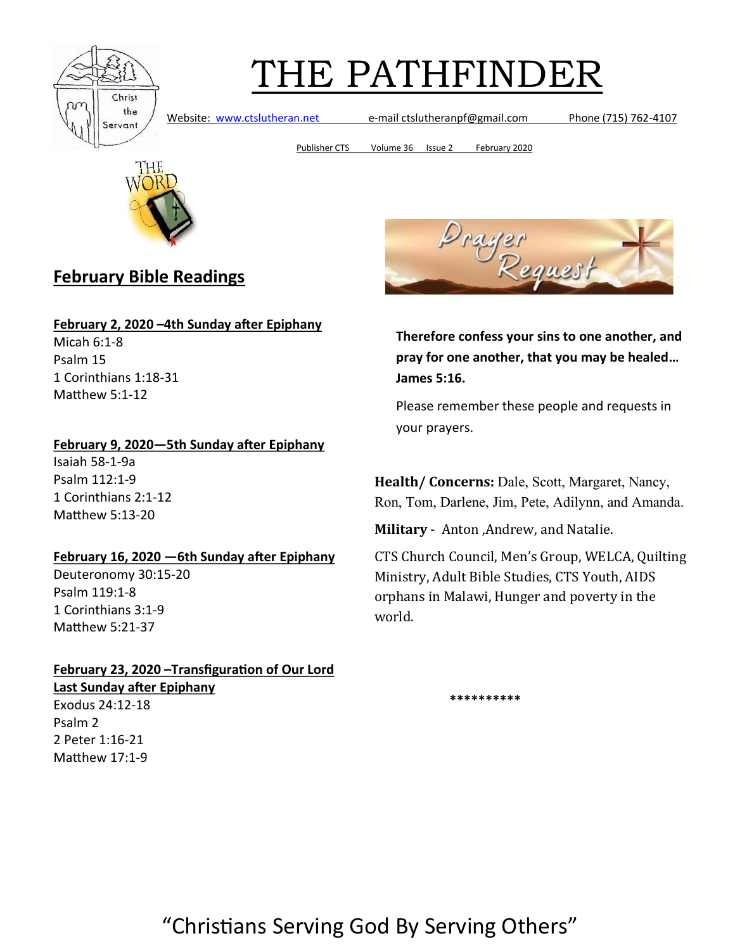

Website: [www.ctslutheran.net](http://www.ctslutheran.net/) e-mail ctslutheranpf@gmail.com Phone (715) 762-4107

Publisher CTS Volume 36 Issue 2 February 2020



### **February Bible Readings**

#### **February 2, 2020 –4th Sunday after Epiphany**

Micah 6:1-8 Psalm 15 1 Corinthians 1:18-31 Matthew 5:1-12

#### **February 9, 2020—5th Sunday after Epiphany**

Isaiah 58-1-9a Psalm 112:1-9 1 Corinthians 2:1-12 Matthew 5:13-20

#### **February 16, 2020 —6th Sunday after Epiphany**

Deuteronomy 30:15-20 Psalm 119:1-8 1 Corinthians 3:1-9 Matthew 5:21-37

#### **February 23, 2020 –Transfiguration of Our Lord Last Sunday after Epiphany**

Exodus 24:12-18 Psalm 2 2 Peter 1:16-21 Matthew 17:1-9



**Therefore confess your sins to one another, and pray for one another, that you may be healed… James 5:16.**

Please remember these people and requests in your prayers.

**Health/ Concerns:** Dale, Scott, Margaret, Nancy, Ron, Tom, Darlene, Jim, Pete, Adilynn, and Amanda.

**Military** - Anton ,Andrew, and Natalie.

CTS Church Council, Men's Group, WELCA, Quilting Ministry, Adult Bible Studies, CTS Youth, AIDS orphans in Malawi, Hunger and poverty in the world.

 **\*\*\*\*\*\*\*\*\*\***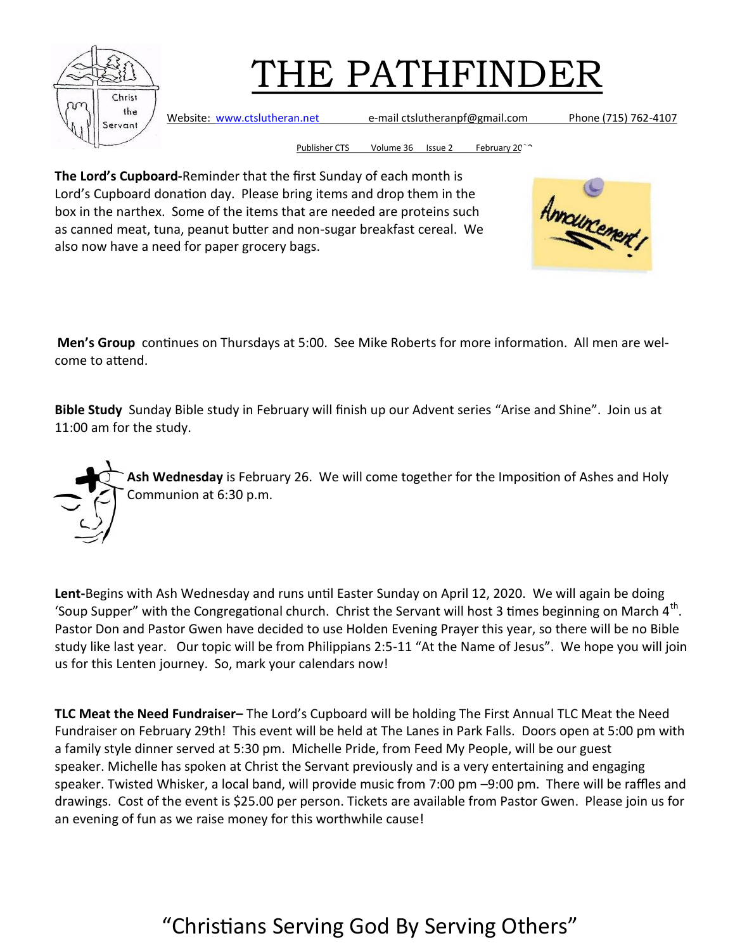

Website: [www.ctslutheran.net](http://www.ctslutheran.net/) e-mail ctslutheranpf@gmail.com Phone (715) 762-4107

Publisher CTS Volume 36 Issue 2 February 20<sup>26</sup>

**The Lord's Cupboard-**Reminder that the first Sunday of each month is Lord's Cupboard donation day. Please bring items and drop them in the box in the narthex. Some of the items that are needed are proteins such as canned meat, tuna, peanut butter and non-sugar breakfast cereal. We also now have a need for paper grocery bags.



**Men's Group** continues on Thursdays at 5:00. See Mike Roberts for more information. All men are welcome to attend.

**Bible Study** Sunday Bible study in February will finish up our Advent series "Arise and Shine". Join us at 11:00 am for the study.



**Lent-**Begins with Ash Wednesday and runs until Easter Sunday on April 12, 2020. We will again be doing 'Soup Supper" with the Congregational church. Christ the Servant will host 3 times beginning on March  $4<sup>th</sup>$ . Pastor Don and Pastor Gwen have decided to use Holden Evening Prayer this year, so there will be no Bible study like last year. Our topic will be from Philippians 2:5-11 "At the Name of Jesus". We hope you will join us for this Lenten journey. So, mark your calendars now!

**TLC Meat the Need Fundraiser–** The Lord's Cupboard will be holding The First Annual TLC Meat the Need Fundraiser on February 29th! This event will be held at The Lanes in Park Falls. Doors open at 5:00 pm with a family style dinner served at 5:30 pm. Michelle Pride, from Feed My People, will be our guest speaker. Michelle has spoken at Christ the Servant previously and is a very entertaining and engaging speaker. Twisted Whisker, a local band, will provide music from 7:00 pm –9:00 pm. There will be raffles and drawings. Cost of the event is \$25.00 per person. Tickets are available from Pastor Gwen. Please join us for an evening of fun as we raise money for this worthwhile cause!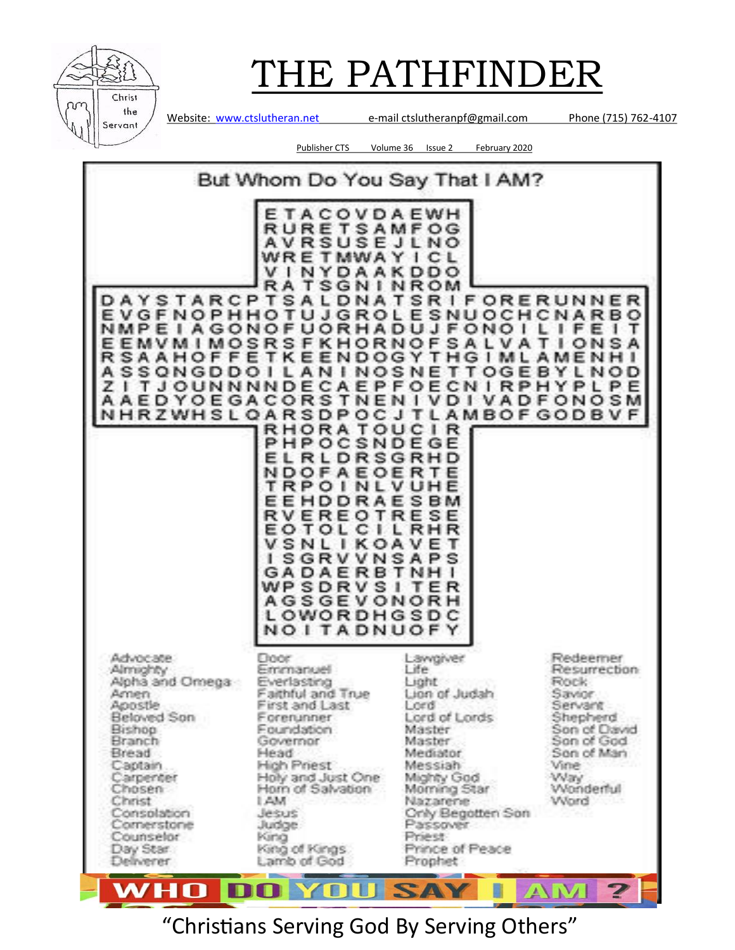

Website: [www.ctslutheran.net](http://www.ctslutheran.net/) e-mail ctslutheranpf@gmail.com Phone (715) 762-4107

Publisher CTS Volume 36 Issue 2 February 2020